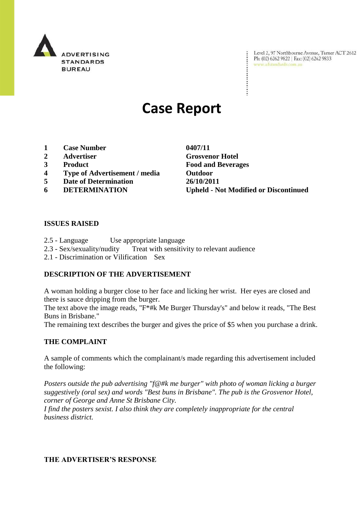

Level 2, 97 Northbourne Avenue, Turner ACT 2612<br>Ph: (02) 6262 9822 | Fax: (02) 6262 9833<br>www.adstandards.com.au

# **Case Report**

- **1 Case Number 0407/11**
- **2 Advertiser Grosvenor Hotel**
- 
- **4 Type of Advertisement / media Outdoor**
- **5 Date of Determination 26/10/2011**
- 

**3 Product Food and Beverages 6 DETERMINATION Upheld - Not Modified or Discontinued**

÷

#### **ISSUES RAISED**

- 2.5 Language Use appropriate language
- 2.3 Sex/sexuality/nudity Treat with sensitivity to relevant audience
- 2.1 Discrimination or Vilification Sex

### **DESCRIPTION OF THE ADVERTISEMENT**

A woman holding a burger close to her face and licking her wrist. Her eyes are closed and there is sauce dripping from the burger.

The text above the image reads, "F\*#k Me Burger Thursday's" and below it reads, "The Best Buns in Brisbane."

The remaining text describes the burger and gives the price of \$5 when you purchase a drink.

#### **THE COMPLAINT**

A sample of comments which the complainant/s made regarding this advertisement included the following:

*Posters outside the pub advertising "f@#k me burger" with photo of woman licking a burger suggestively (oral sex) and words "Best buns in Brisbane". The pub is the Grosvenor Hotel, corner of George and Anne St Brisbane City.*

*I find the posters sexist. I also think they are completely inappropriate for the central business district.*

#### **THE ADVERTISER'S RESPONSE**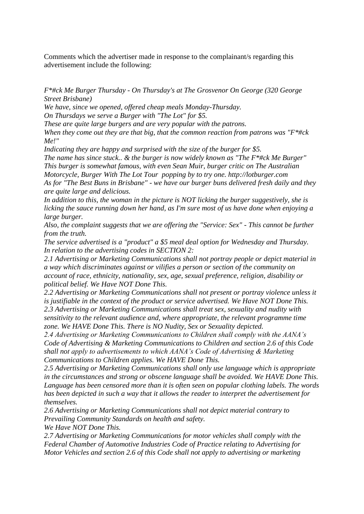Comments which the advertiser made in response to the complainant/s regarding this advertisement include the following:

*F\*#ck Me Burger Thursday - On Thursday's at The Grosvenor On George (320 George Street Brisbane)*

*We have, since we opened, offered cheap meals Monday-Thursday. On Thursdays we serve a Burger with "The Lot" for \$5.*

*These are quite large burgers and are very popular with the patrons.* 

*When they come out they are that big, that the common reaction from patrons was "F\*#ck Me!"* 

*Indicating they are happy and surprised with the size of the burger for \$5.*

*The name has since stuck.. & the burger is now widely known as "The F\*#ck Me Burger" This burger is somewhat famous, with even Sean Muir, burger critic on The Australian Motorcycle, Burger With The Lot Tour popping by to try one. http://lotburger.com As for "The Best Buns in Brisbane" - we have our burger buns delivered fresh daily and they are quite large and delicious.*

*In addition to this, the woman in the picture is NOT licking the burger suggestively, she is licking the sauce running down her hand, as I'm sure most of us have done when enjoying a large burger.*

*Also, the complaint suggests that we are offering the "Service: Sex" - This cannot be further from the truth.* 

*The service advertised is a "product" a \$5 meal deal option for Wednesday and Thursday. In relation to the advertising codes in SECTION 2:*

*2.1 Advertising or Marketing Communications shall not portray people or depict material in a way which discriminates against or vilifies a person or section of the community on account of race, ethnicity, nationality, sex, age, sexual preference, religion, disability or political belief. We Have NOT Done This.*

*2.2 Advertising or Marketing Communications shall not present or portray violence unless it is justifiable in the context of the product or service advertised. We Have NOT Done This. 2.3 Advertising or Marketing Communications shall treat sex, sexuality and nudity with* 

*sensitivity to the relevant audience and, where appropriate, the relevant programme time zone. We HAVE Done This. There is NO Nudity, Sex or Sexuality depicted.*

*2.4 Advertising or Marketing Communications to Children shall comply with the AANA's Code of Advertising & Marketing Communications to Children and section 2.6 of this Code shall not apply to advertisements to which AANA's Code of Advertising & Marketing Communications to Children applies. We HAVE Done This.*

*2.5 Advertising or Marketing Communications shall only use language which is appropriate in the circumstances and strong or obscene language shall be avoided. We HAVE Done This. Language has been censored more than it is often seen on popular clothing labels. The words has been depicted in such a way that it allows the reader to interpret the advertisement for themselves.*

*2.6 Advertising or Marketing Communications shall not depict material contrary to Prevailing Community Standards on health and safety.*

*We Have NOT Done This.*

*2.7 Advertising or Marketing Communications for motor vehicles shall comply with the Federal Chamber of Automotive Industries Code of Practice relating to Advertising for Motor Vehicles and section 2.6 of this Code shall not apply to advertising or marketing*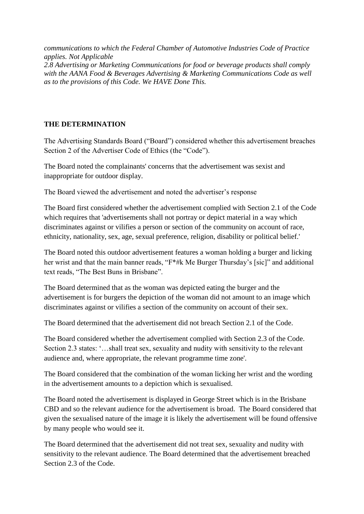*communications to which the Federal Chamber of Automotive Industries Code of Practice applies. Not Applicable 2.8 Advertising or Marketing Communications for food or beverage products shall comply with the AANA Food & Beverages Advertising & Marketing Communications Code as well as to the provisions of this Code. We HAVE Done This.*

## **THE DETERMINATION**

The Advertising Standards Board ("Board") considered whether this advertisement breaches Section 2 of the Advertiser Code of Ethics (the "Code").

The Board noted the complainants' concerns that the advertisement was sexist and inappropriate for outdoor display.

The Board viewed the advertisement and noted the advertiser"s response

The Board first considered whether the advertisement complied with Section 2.1 of the Code which requires that 'advertisements shall not portray or depict material in a way which discriminates against or vilifies a person or section of the community on account of race, ethnicity, nationality, sex, age, sexual preference, religion, disability or political belief.'

The Board noted this outdoor advertisement features a woman holding a burger and licking her wrist and that the main banner reads, "F\*#k Me Burger Thursday's [sic]" and additional text reads, "The Best Buns in Brisbane".

The Board determined that as the woman was depicted eating the burger and the advertisement is for burgers the depiction of the woman did not amount to an image which discriminates against or vilifies a section of the community on account of their sex.

The Board determined that the advertisement did not breach Section 2.1 of the Code.

The Board considered whether the advertisement complied with Section 2.3 of the Code. Section 2.3 states: "...shall treat sex, sexuality and nudity with sensitivity to the relevant audience and, where appropriate, the relevant programme time zone'.

The Board considered that the combination of the woman licking her wrist and the wording in the advertisement amounts to a depiction which is sexualised.

The Board noted the advertisement is displayed in George Street which is in the Brisbane CBD and so the relevant audience for the advertisement is broad. The Board considered that given the sexualised nature of the image it is likely the advertisement will be found offensive by many people who would see it.

The Board determined that the advertisement did not treat sex, sexuality and nudity with sensitivity to the relevant audience. The Board determined that the advertisement breached Section 2.3 of the Code.